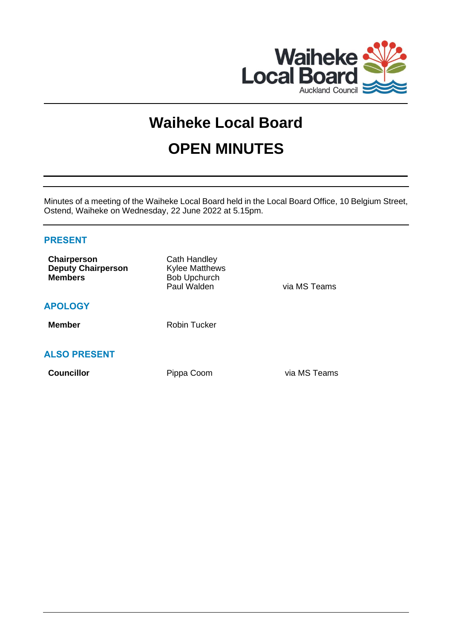

# **Waiheke Local Board OPEN MINUTES**

Minutes of a meeting of the Waiheke Local Board held in the Local Board Office, 10 Belgium Street, Ostend, Waiheke on Wednesday, 22 June 2022 at 5.15pm.

# **PRESENT**

| Chairperson<br><b>Deputy Chairperson</b><br><b>Members</b> | Cath Handley<br><b>Kylee Matthews</b><br><b>Bob Upchurch</b><br>Paul Walden | via MS Teams |
|------------------------------------------------------------|-----------------------------------------------------------------------------|--------------|
| <b>APOLOGY</b>                                             |                                                                             |              |
| <b>Member</b>                                              | <b>Robin Tucker</b>                                                         |              |
| <b>ALSO PRESENT</b>                                        |                                                                             |              |
| <b>Councillor</b>                                          | Pippa Coom                                                                  | via MS Teams |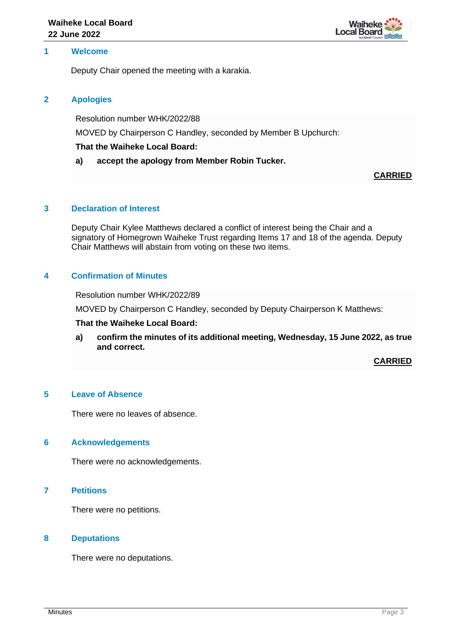

# **1 Welcome**

Deputy Chair opened the meeting with a karakia.

## **2 Apologies**

Resolution number WHK/2022/88

MOVED by Chairperson C Handley, seconded by Member B Upchurch:

## **That the Waiheke Local Board:**

## **a) accept the apology from Member Robin Tucker.**

**CARRIED**

# **3 Declaration of Interest**

Deputy Chair Kylee Matthews declared a conflict of interest being the Chair and a signatory of Homegrown Waiheke Trust regarding Items 17 and 18 of the agenda. Deputy Chair Matthews will abstain from voting on these two items.

# **4 Confirmation of Minutes**

Resolution number WHK/2022/89

MOVED by Chairperson C Handley, seconded by Deputy Chairperson K Matthews:

#### **That the Waiheke Local Board:**

**a) confirm the minutes of its additional meeting, Wednesday, 15 June 2022, as true and correct.**

**CARRIED**

#### **5 Leave of Absence**

There were no leaves of absence.

#### **6 Acknowledgements**

There were no acknowledgements.

# **7 Petitions**

There were no petitions.

#### **8 Deputations**

There were no deputations.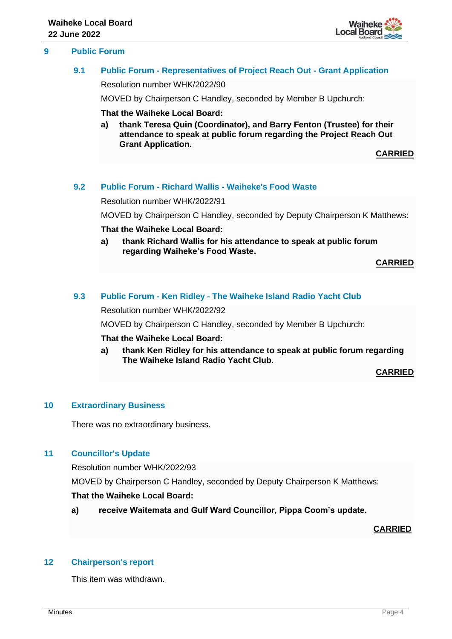



# **9.1 Public Forum - Representatives of Project Reach Out - Grant Application**

Resolution number WHK/2022/90

MOVED by Chairperson C Handley, seconded by Member B Upchurch:

#### **That the Waiheke Local Board:**

**a) thank Teresa Quin (Coordinator), and Barry Fenton (Trustee) for their attendance to speak at public forum regarding the Project Reach Out Grant Application.**

**CARRIED**

#### **9.2 Public Forum - Richard Wallis - Waiheke's Food Waste**

Resolution number WHK/2022/91

MOVED by Chairperson C Handley, seconded by Deputy Chairperson K Matthews:

#### **That the Waiheke Local Board:**

**a) thank Richard Wallis for his attendance to speak at public forum regarding Waiheke's Food Waste.**

**CARRIED**

## **9.3 Public Forum - Ken Ridley - The Waiheke Island Radio Yacht Club**

Resolution number WHK/2022/92

MOVED by Chairperson C Handley, seconded by Member B Upchurch:

#### **That the Waiheke Local Board:**

**a) thank Ken Ridley for his attendance to speak at public forum regarding The Waiheke Island Radio Yacht Club.**

**CARRIED**

#### **10 Extraordinary Business**

There was no extraordinary business.

# **11 Councillor's Update**

Resolution number WHK/2022/93

MOVED by Chairperson C Handley, seconded by Deputy Chairperson K Matthews:

# **That the Waiheke Local Board:**

**a) receive Waitemata and Gulf Ward Councillor, Pippa Coom's update.**

**CARRIED**

# **12 Chairperson's report**

This item was withdrawn.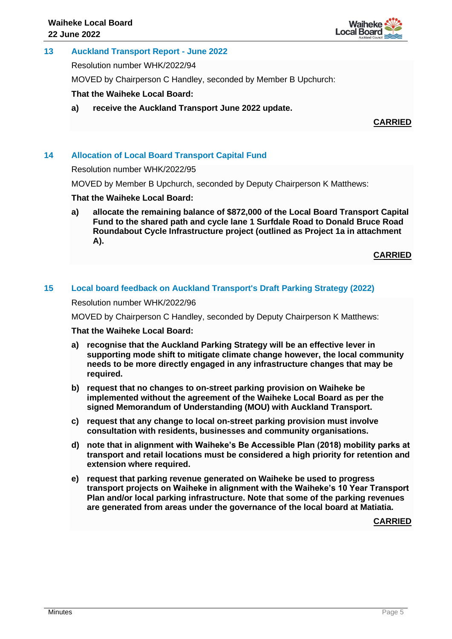

# **13 Auckland Transport Report - June 2022**

Resolution number WHK/2022/94

MOVED by Chairperson C Handley, seconded by Member B Upchurch:

**That the Waiheke Local Board:**

**a) receive the Auckland Transport June 2022 update.**

**CARRIED**

# **14 Allocation of Local Board Transport Capital Fund**

#### Resolution number WHK/2022/95

MOVED by Member B Upchurch, seconded by Deputy Chairperson K Matthews:

#### **That the Waiheke Local Board:**

**a) allocate the remaining balance of \$872,000 of the Local Board Transport Capital Fund to the shared path and cycle lane 1 Surfdale Road to Donald Bruce Road Roundabout Cycle Infrastructure project (outlined as Project 1a in attachment A).**

**CARRIED**

# **15 Local board feedback on Auckland Transport's Draft Parking Strategy (2022)**

Resolution number WHK/2022/96

MOVED by Chairperson C Handley, seconded by Deputy Chairperson K Matthews:

#### **That the Waiheke Local Board:**

- **a) recognise that the Auckland Parking Strategy will be an effective lever in supporting mode shift to mitigate climate change however, the local community needs to be more directly engaged in any infrastructure changes that may be required.**
- **b) request that no changes to on-street parking provision on Waiheke be implemented without the agreement of the Waiheke Local Board as per the signed Memorandum of Understanding (MOU) with Auckland Transport.**
- **c) request that any change to local on-street parking provision must involve consultation with residents, businesses and community organisations.**
- **d) note that in alignment with Waiheke's Be Accessible Plan (2018) mobility parks at transport and retail locations must be considered a high priority for retention and extension where required.**
- **e) request that parking revenue generated on Waiheke be used to progress transport projects on Waiheke in alignment with the Waiheke's 10 Year Transport Plan and/or local parking infrastructure. Note that some of the parking revenues are generated from areas under the governance of the local board at Matiatia.**

**CARRIED**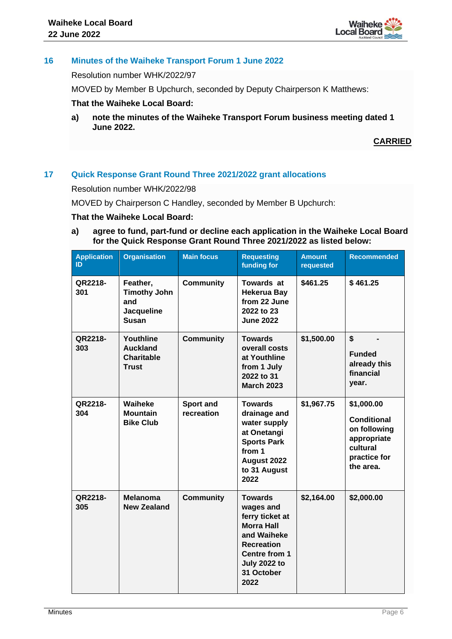

# **16 Minutes of the Waiheke Transport Forum 1 June 2022**

Resolution number WHK/2022/97

MOVED by Member B Upchurch, seconded by Deputy Chairperson K Matthews:

## **That the Waiheke Local Board:**

**a) note the minutes of the Waiheke Transport Forum business meeting dated 1 June 2022.**

**CARRIED**

# **17 Quick Response Grant Round Three 2021/2022 grant allocations**

Resolution number WHK/2022/98

MOVED by Chairperson C Handley, seconded by Member B Upchurch:

## **That the Waiheke Local Board:**

**a) agree to fund, part-fund or decline each application in the Waiheke Local Board for the Quick Response Grant Round Three 2021/2022 as listed below:**

| <b>Application</b><br>ID | <b>Organisation</b>                                                  | <b>Main focus</b>       | <b>Requesting</b><br>funding for                                                                                                                                             | <b>Amount</b><br>requested | <b>Recommended</b>                                                                                       |
|--------------------------|----------------------------------------------------------------------|-------------------------|------------------------------------------------------------------------------------------------------------------------------------------------------------------------------|----------------------------|----------------------------------------------------------------------------------------------------------|
| QR2218-<br>301           | Feather,<br><b>Timothy John</b><br>and<br>Jacqueline<br><b>Susan</b> | <b>Community</b>        | <b>Towards at</b><br><b>Hekerua Bay</b><br>from 22 June<br>2022 to 23<br><b>June 2022</b>                                                                                    | \$461.25                   | \$461.25                                                                                                 |
| QR2218-<br>303           | Youthline<br><b>Auckland</b><br><b>Charitable</b><br><b>Trust</b>    | <b>Community</b>        | <b>Towards</b><br>overall costs<br>at Youthline<br>from 1 July<br>2022 to 31<br><b>March 2023</b>                                                                            | \$1,500.00                 | \$<br><b>Funded</b><br>already this<br>financial<br>year.                                                |
| QR2218-<br>304           | Waiheke<br><b>Mountain</b><br><b>Bike Club</b>                       | Sport and<br>recreation | <b>Towards</b><br>drainage and<br>water supply<br>at Onetangi<br><b>Sports Park</b><br>from 1<br>August 2022<br>to 31 August<br>2022                                         | \$1,967.75                 | \$1,000.00<br><b>Conditional</b><br>on following<br>appropriate<br>cultural<br>practice for<br>the area. |
| QR2218-<br>305           | <b>Melanoma</b><br><b>New Zealand</b>                                | <b>Community</b>        | <b>Towards</b><br>wages and<br>ferry ticket at<br><b>Morra Hall</b><br>and Waiheke<br><b>Recreation</b><br><b>Centre from 1</b><br><b>July 2022 to</b><br>31 October<br>2022 | \$2,164.00                 | \$2,000.00                                                                                               |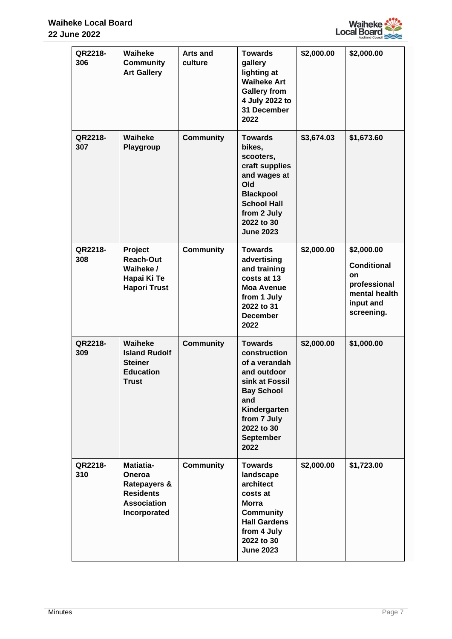

| QR2218-<br>306 | Waiheke<br><b>Community</b><br><b>Art Gallery</b>                                                               | <b>Arts and</b><br>culture | <b>Towards</b><br>gallery<br>lighting at<br><b>Waiheke Art</b><br><b>Gallery from</b><br>4 July 2022 to<br>31 December<br>2022                                                        | \$2,000.00 | \$2,000.00                                                                                         |
|----------------|-----------------------------------------------------------------------------------------------------------------|----------------------------|---------------------------------------------------------------------------------------------------------------------------------------------------------------------------------------|------------|----------------------------------------------------------------------------------------------------|
| QR2218-<br>307 | Waiheke<br>Playgroup                                                                                            | <b>Community</b>           | <b>Towards</b><br>bikes,<br>scooters,<br>craft supplies<br>and wages at<br>Old<br><b>Blackpool</b><br><b>School Hall</b><br>from 2 July<br>2022 to 30<br><b>June 2023</b>             | \$3,674.03 | \$1,673.60                                                                                         |
| QR2218-<br>308 | Project<br><b>Reach-Out</b><br>Waiheke /<br>Hapai Ki Te<br><b>Hapori Trust</b>                                  | <b>Community</b>           | <b>Towards</b><br>advertising<br>and training<br>costs at 13<br><b>Moa Avenue</b><br>from 1 July<br>2022 to 31<br><b>December</b><br>2022                                             | \$2,000.00 | \$2,000.00<br><b>Conditional</b><br>on<br>professional<br>mental health<br>input and<br>screening. |
| QR2218-<br>309 | Waiheke<br><b>Island Rudolf</b><br><b>Steiner</b><br><b>Education</b><br><b>Trust</b>                           | <b>Community</b>           | <b>Towards</b><br>construction<br>of a verandah<br>and outdoor<br>sink at Fossil<br><b>Bay School</b><br>and<br>Kindergarten<br>from 7 July<br>2022 to 30<br><b>September</b><br>2022 | \$2,000.00 | \$1,000.00                                                                                         |
| QR2218-<br>310 | <b>Matiatia-</b><br>Oneroa<br><b>Ratepayers &amp;</b><br><b>Residents</b><br><b>Association</b><br>Incorporated | <b>Community</b>           | <b>Towards</b><br>landscape<br>architect<br>costs at<br><b>Morra</b><br><b>Community</b><br><b>Hall Gardens</b><br>from 4 July<br>2022 to 30<br><b>June 2023</b>                      | \$2,000.00 | \$1,723.00                                                                                         |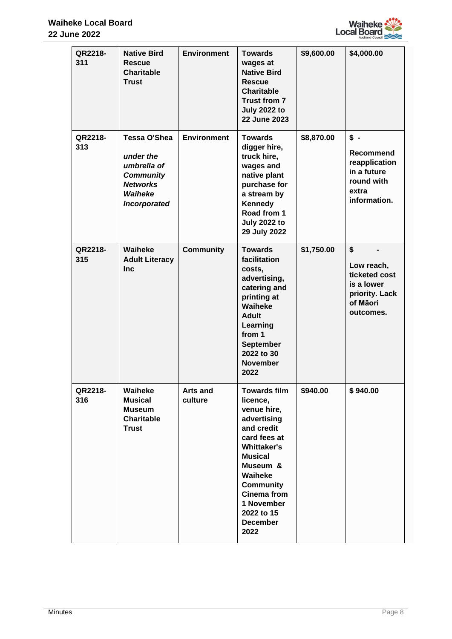

| QR2218-<br>311 | <b>Native Bird</b><br>Rescue<br>Charitable<br><b>Trust</b>                                                 | <b>Environment</b>  | <b>Towards</b><br>wages at<br><b>Native Bird</b><br><b>Rescue</b><br><b>Charitable</b><br><b>Trust from 7</b><br><b>July 2022 to</b><br><b>22 June 2023</b>                                                                                                 | \$9,600.00 | \$4,000.00                                                                                       |
|----------------|------------------------------------------------------------------------------------------------------------|---------------------|-------------------------------------------------------------------------------------------------------------------------------------------------------------------------------------------------------------------------------------------------------------|------------|--------------------------------------------------------------------------------------------------|
| QR2218-<br>313 | Tessa O'Shea<br>under the<br>umbrella of<br><b>Community</b><br><b>Networks</b><br>Waiheke<br>Incorporated | <b>Environment</b>  | <b>Towards</b><br>digger hire,<br>truck hire,<br>wages and<br>native plant<br>purchase for<br>a stream by<br>Kennedy<br>Road from 1<br><b>July 2022 to</b><br>29 July 2022                                                                                  | \$8,870.00 | $s -$<br><b>Recommend</b><br>reapplication<br>in a future<br>round with<br>extra<br>information. |
| QR2218-<br>315 | Waiheke<br><b>Adult Literacy</b><br><b>Inc</b>                                                             | <b>Community</b>    | <b>Towards</b><br>facilitation<br>costs,<br>advertising,<br>catering and<br>printing at<br>Waiheke<br><b>Adult</b><br>Learning<br>from 1<br><b>September</b><br>2022 to 30<br><b>November</b><br>2022                                                       | \$1,750.00 | \$<br>Low reach,<br>ticketed cost<br>is a lower<br>priority. Lack<br>of Māori<br>outcomes.       |
| QR2218-<br>316 | Waiheke<br><b>Musical</b><br><b>Museum</b><br><b>Charitable</b><br><b>Trust</b>                            | Arts and<br>culture | <b>Towards film</b><br>licence,<br>venue hire,<br>advertising<br>and credit<br>card fees at<br><b>Whittaker's</b><br><b>Musical</b><br>Museum &<br>Waiheke<br><b>Community</b><br><b>Cinema from</b><br>1 November<br>2022 to 15<br><b>December</b><br>2022 | \$940.00   | \$940.00                                                                                         |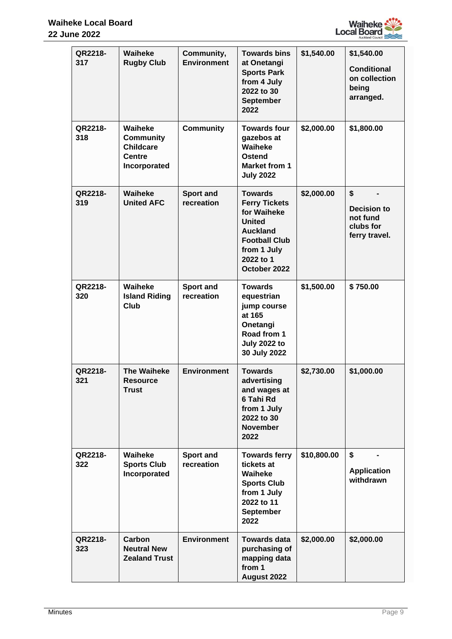

| QR2218-<br>317 | Waiheke<br><b>Rugby Club</b>                                                     | Community,<br><b>Environment</b> | <b>Towards bins</b><br>at Onetangi<br><b>Sports Park</b><br>from 4 July<br>2022 to 30<br>September<br>2022                                                    | \$1,540.00  | \$1,540.00<br><b>Conditional</b><br>on collection<br>being<br>arranged. |
|----------------|----------------------------------------------------------------------------------|----------------------------------|---------------------------------------------------------------------------------------------------------------------------------------------------------------|-------------|-------------------------------------------------------------------------|
| QR2218-<br>318 | Waiheke<br><b>Community</b><br><b>Childcare</b><br><b>Centre</b><br>Incorporated | <b>Community</b>                 | <b>Towards four</b><br>gazebos at<br><b>Waiheke</b><br><b>Ostend</b><br><b>Market from 1</b><br><b>July 2022</b>                                              | \$2,000.00  | \$1,800.00                                                              |
| QR2218-<br>319 | Waiheke<br><b>United AFC</b>                                                     | <b>Sport and</b><br>recreation   | <b>Towards</b><br><b>Ferry Tickets</b><br>for Waiheke<br><b>United</b><br><b>Auckland</b><br><b>Football Club</b><br>from 1 July<br>2022 to 1<br>October 2022 | \$2,000.00  | \$<br>Decision to<br>not fund<br>clubs for<br>ferry travel.             |
| QR2218-<br>320 | Waiheke<br><b>Island Riding</b><br><b>Club</b>                                   | <b>Sport and</b><br>recreation   | <b>Towards</b><br>equestrian<br>jump course<br>at 165<br>Onetangi<br>Road from 1<br><b>July 2022 to</b><br>30 July 2022                                       | \$1,500.00  | \$750.00                                                                |
| QR2218-<br>321 | <b>The Waiheke</b><br><b>Resource</b><br>Trust                                   | <b>Environment</b>               | <b>Towards</b><br>advertising<br>and wages at<br>6 Tahi Rd<br>from 1 July<br>2022 to 30<br><b>November</b><br>2022                                            | \$2,730.00  | \$1,000.00                                                              |
| QR2218-<br>322 | Waiheke<br><b>Sports Club</b><br>Incorporated                                    | <b>Sport and</b><br>recreation   | <b>Towards ferry</b><br>tickets at<br>Waiheke<br><b>Sports Club</b><br>from 1 July<br>2022 to 11<br><b>September</b><br>2022                                  | \$10,800.00 | \$<br><b>Application</b><br>withdrawn                                   |
| QR2218-<br>323 | Carbon<br><b>Neutral New</b><br><b>Zealand Trust</b>                             | <b>Environment</b>               | <b>Towards data</b><br>purchasing of<br>mapping data<br>from 1<br>August 2022                                                                                 | \$2,000.00  | \$2,000.00                                                              |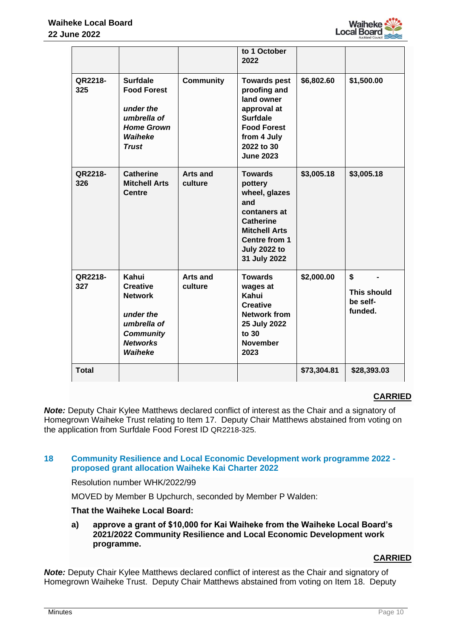

|                |                                                                                                                          |                            | to 1 October<br>2022                                                                                                                                                  |             |                                                 |
|----------------|--------------------------------------------------------------------------------------------------------------------------|----------------------------|-----------------------------------------------------------------------------------------------------------------------------------------------------------------------|-------------|-------------------------------------------------|
| QR2218-<br>325 | <b>Surfdale</b><br><b>Food Forest</b><br>under the<br>umbrella of<br><b>Home Grown</b><br>Waiheke<br><b>Trust</b>        | <b>Community</b>           | <b>Towards pest</b><br>proofing and<br>land owner<br>approval at<br><b>Surfdale</b><br><b>Food Forest</b><br>from 4 July<br>2022 to 30<br><b>June 2023</b>            | \$6,802.60  | \$1,500.00                                      |
| QR2218-<br>326 | <b>Catherine</b><br><b>Mitchell Arts</b><br><b>Centre</b>                                                                | <b>Arts and</b><br>culture | <b>Towards</b><br>pottery<br>wheel, glazes<br>and<br>contaners at<br>Catherine<br><b>Mitchell Arts</b><br><b>Centre from 1</b><br><b>July 2022 to</b><br>31 July 2022 | \$3,005.18  | \$3,005.18                                      |
| QR2218-<br>327 | Kahui<br><b>Creative</b><br><b>Network</b><br>under the<br>umbrella of<br><b>Community</b><br><b>Networks</b><br>Waiheke | <b>Arts and</b><br>culture | <b>Towards</b><br>wages at<br>Kahui<br><b>Creative</b><br><b>Network from</b><br>25 July 2022<br>to 30<br><b>November</b><br>2023                                     | \$2,000.00  | \$<br><b>This should</b><br>be self-<br>funded. |
| <b>Total</b>   |                                                                                                                          |                            |                                                                                                                                                                       | \$73,304.81 | \$28,393.03                                     |

# **CARRIED**

*Note:* Deputy Chair Kylee Matthews declared conflict of interest as the Chair and a signatory of Homegrown Waiheke Trust relating to Item 17. Deputy Chair Matthews abstained from voting on the application from Surfdale Food Forest ID QR2218-325.

# **18 Community Resilience and Local Economic Development work programme 2022 proposed grant allocation Waiheke Kai Charter 2022**

Resolution number WHK/2022/99

MOVED by Member B Upchurch, seconded by Member P Walden:

# **That the Waiheke Local Board:**

**a) approve a grant of \$10,000 for Kai Waiheke from the Waiheke Local Board's 2021/2022 Community Resilience and Local Economic Development work programme.**

# **CARRIED**

*Note:* Deputy Chair Kylee Matthews declared conflict of interest as the Chair and signatory of Homegrown Waiheke Trust. Deputy Chair Matthews abstained from voting on Item 18. Deputy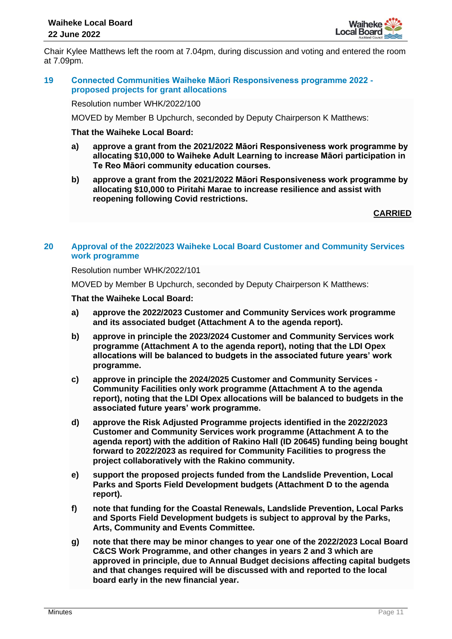

Chair Kylee Matthews left the room at 7.04pm, during discussion and voting and entered the room at 7.09pm.

## **19 Connected Communities Waiheke Māori Responsiveness programme 2022 proposed projects for grant allocations**

Resolution number WHK/2022/100

MOVED by Member B Upchurch, seconded by Deputy Chairperson K Matthews:

#### **That the Waiheke Local Board:**

- **a) approve a grant from the 2021/2022 Māori Responsiveness work programme by allocating \$10,000 to Waiheke Adult Learning to increase Māori participation in Te Reo Māori community education courses.**
- **b) approve a grant from the 2021/2022 Māori Responsiveness work programme by allocating \$10,000 to Piritahi Marae to increase resilience and assist with reopening following Covid restrictions.**

**CARRIED**

# **20 Approval of the 2022/2023 Waiheke Local Board Customer and Community Services work programme**

Resolution number WHK/2022/101

MOVED by Member B Upchurch, seconded by Deputy Chairperson K Matthews:

## **That the Waiheke Local Board:**

- **a) approve the 2022/2023 Customer and Community Services work programme and its associated budget (Attachment A to the agenda report).**
- **b) approve in principle the 2023/2024 Customer and Community Services work programme (Attachment A to the agenda report), noting that the LDI Opex allocations will be balanced to budgets in the associated future years' work programme.**
- **c) approve in principle the 2024/2025 Customer and Community Services - Community Facilities only work programme (Attachment A to the agenda report), noting that the LDI Opex allocations will be balanced to budgets in the associated future years' work programme.**
- **d) approve the Risk Adjusted Programme projects identified in the 2022/2023 Customer and Community Services work programme (Attachment A to the agenda report) with the addition of Rakino Hall (ID 20645) funding being bought forward to 2022/2023 as required for Community Facilities to progress the project collaboratively with the Rakino community.**
- **e) support the proposed projects funded from the Landslide Prevention, Local Parks and Sports Field Development budgets (Attachment D to the agenda report).**
- **f) note that funding for the Coastal Renewals, Landslide Prevention, Local Parks and Sports Field Development budgets is subject to approval by the Parks, Arts, Community and Events Committee.**
- **g) note that there may be minor changes to year one of the 2022/2023 Local Board C&CS Work Programme, and other changes in years 2 and 3 which are approved in principle, due to Annual Budget decisions affecting capital budgets and that changes required will be discussed with and reported to the local board early in the new financial year.**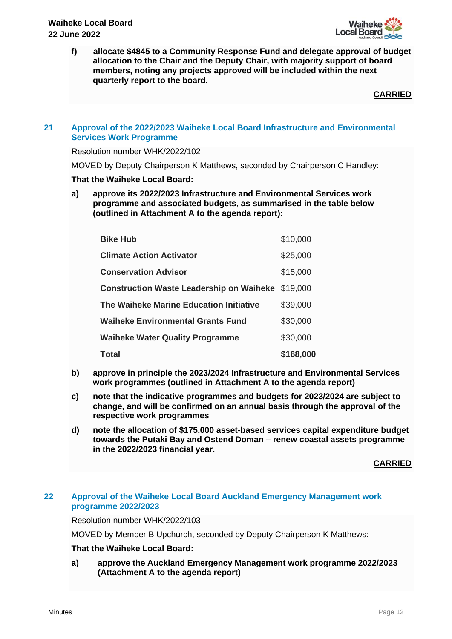

**f) allocate \$4845 to a Community Response Fund and delegate approval of budget allocation to the Chair and the Deputy Chair, with majority support of board members, noting any projects approved will be included within the next quarterly report to the board.**

**CARRIED**

## **21 Approval of the 2022/2023 Waiheke Local Board Infrastructure and Environmental Services Work Programme**

Resolution number WHK/2022/102

MOVED by Deputy Chairperson K Matthews, seconded by Chairperson C Handley:

## **That the Waiheke Local Board:**

**a) approve its 2022/2023 Infrastructure and Environmental Services work programme and associated budgets, as summarised in the table below (outlined in Attachment A to the agenda report):**

| Total                                           | \$168,000 |
|-------------------------------------------------|-----------|
| <b>Waiheke Water Quality Programme</b>          | \$30,000  |
| <b>Waiheke Environmental Grants Fund</b>        | \$30,000  |
| The Waiheke Marine Education Initiative         | \$39,000  |
| <b>Construction Waste Leadership on Waiheke</b> | \$19,000  |
| <b>Conservation Advisor</b>                     | \$15,000  |
| <b>Climate Action Activator</b>                 | \$25,000  |
| <b>Bike Hub</b>                                 | \$10,000  |

- **b) approve in principle the 2023/2024 Infrastructure and Environmental Services work programmes (outlined in Attachment A to the agenda report)**
- **c) note that the indicative programmes and budgets for 2023/2024 are subject to change, and will be confirmed on an annual basis through the approval of the respective work programmes**
- **d) note the allocation of \$175,000 asset-based services capital expenditure budget towards the Putaki Bay and Ostend Doman – renew coastal assets programme in the 2022/2023 financial year.**

**CARRIED**

# **22 Approval of the Waiheke Local Board Auckland Emergency Management work programme 2022/2023**

Resolution number WHK/2022/103

MOVED by Member B Upchurch, seconded by Deputy Chairperson K Matthews:

# **That the Waiheke Local Board:**

**a) approve the Auckland Emergency Management work programme 2022/2023 (Attachment A to the agenda report)**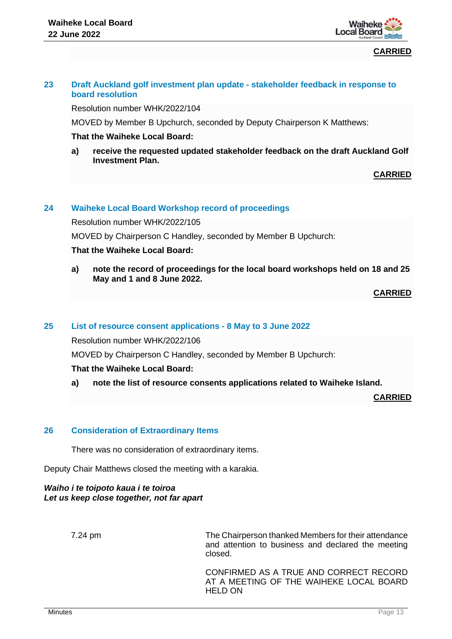

**CARRIED**

# **23 Draft Auckland golf investment plan update - stakeholder feedback in response to board resolution**

Resolution number WHK/2022/104

MOVED by Member B Upchurch, seconded by Deputy Chairperson K Matthews:

## **That the Waiheke Local Board:**

**a) receive the requested updated stakeholder feedback on the draft Auckland Golf Investment Plan.**

**CARRIED**

# **24 Waiheke Local Board Workshop record of proceedings**

Resolution number WHK/2022/105

MOVED by Chairperson C Handley, seconded by Member B Upchurch:

## **That the Waiheke Local Board:**

**a) note the record of proceedings for the local board workshops held on 18 and 25 May and 1 and 8 June 2022.** 

**CARRIED**

#### **25 List of resource consent applications - 8 May to 3 June 2022**

Resolution number WHK/2022/106

MOVED by Chairperson C Handley, seconded by Member B Upchurch:

#### **That the Waiheke Local Board:**

**a) note the list of resource consents applications related to Waiheke Island.** 

**CARRIED**

#### **26 Consideration of Extraordinary Items**

There was no consideration of extraordinary items.

Deputy Chair Matthews closed the meeting with a karakia.

*Waiho i te toipoto kaua i te toiroa Let us keep close together, not far apart*

7.24 pm The Chairperson thanked Members for their attendance and attention to business and declared the meeting closed.

> CONFIRMED AS A TRUE AND CORRECT RECORD AT A MEETING OF THE WAIHEKE LOCAL BOARD HELD ON